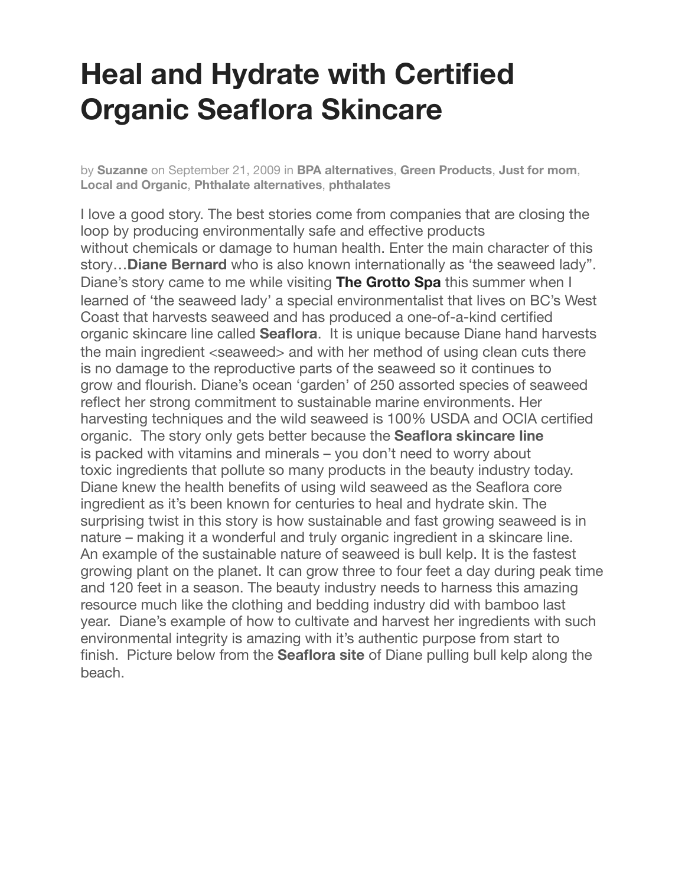## **Heal and Hydrate with Certified Organic Seaflora Skincare**

by **[Suzanne](https://mommyfootprint.com/author/suzanne/)** on September 21, 2009 in **[BPA alternatives](https://mommyfootprint.com/category/bpa-alternatives/)**, **[Green Products](https://mommyfootprint.com/category/green-products/)**, **[Just for mom](https://mommyfootprint.com/category/just-for-mom/)**, **[Local and Organic](https://mommyfootprint.com/category/local-and-organic/)**, **[Phthalate alternatives](https://mommyfootprint.com/category/phthalate-alternatives/)**, **[phthalates](https://mommyfootprint.com/category/phthalates/)**

I love a good story. The best stories come from companies that are closing the loop by producing environmentally safe and effective products without chemicals or damage to human health. Enter the main character of this story…**Diane Bernard** who is also known internationally as 'the seaweed lady". Diane's story came to me while visiting **[The Grotto Spa](https://mommyfootprint.com/grotto-spa-and-treetop-tapas-best-destination-spa/)** this summer when I learned of 'the seaweed lady' a special environmentalist that lives on BC's West Coast that harvests seaweed and has produced a one-of-a-kind certified organic skincare line called **Seaflora**. It is unique because Diane hand harvests the main ingredient <seaweed> and with her method of using clean cuts there is no damage to the reproductive parts of the seaweed so it continues to grow and flourish. Diane's ocean 'garden' of 250 assorted species of seaweed reflect her strong commitment to sustainable marine environments. Her harvesting techniques and the wild seaweed is 100% USDA and OCIA certified organic. The story only gets better because the **Seaflora skincare line** is packed with vitamins and minerals – you don't need to worry about toxic ingredients that pollute so many products in the beauty industry today. Diane knew the health benefits of using wild seaweed as the Seaflora core ingredient as it's been known for centuries to heal and hydrate skin. The surprising twist in this story is how sustainable and fast growing seaweed is in nature – making it a wonderful and truly organic ingredient in a skincare line. An example of the sustainable nature of seaweed is bull kelp. It is the fastest growing plant on the planet. It can grow three to four feet a day during peak time and 120 feet in a season. The beauty industry needs to harness this amazing resource much like the clothing and bedding industry did with bamboo last year. Diane's example of how to cultivate and harvest her ingredients with such environmental integrity is amazing with it's authentic purpose from start to finish. Picture below from the **Seaflora site** of Diane pulling bull kelp along the beach.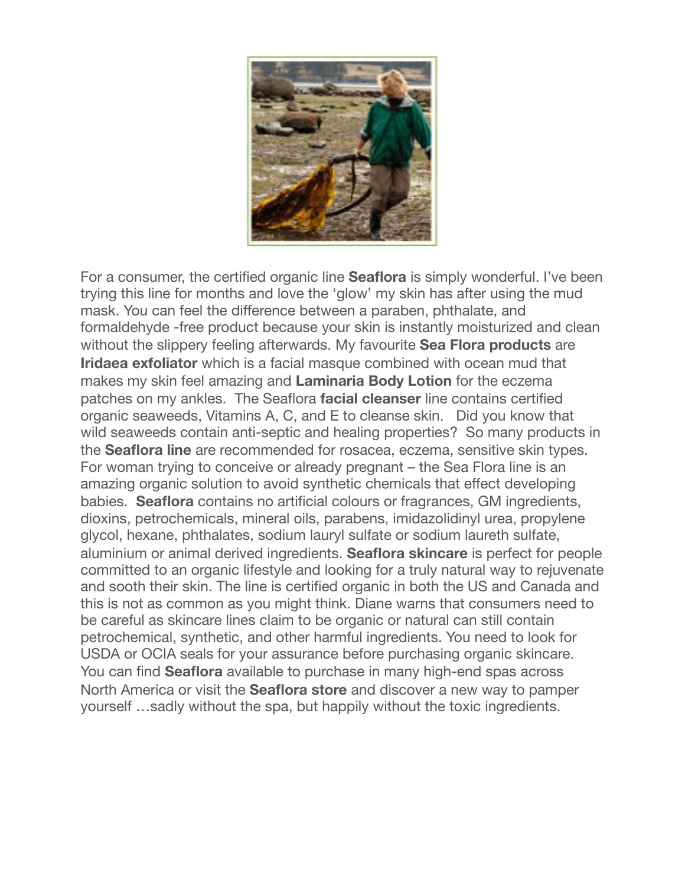

For a consumer, the certified organic line **Seaflora** is simply wonderful. I've been trying this line for months and love the 'glow' my skin has after using the mud mask. You can feel the difference between a paraben, phthalate, and formaldehyde -free product because your skin is instantly moisturized and clean without the slippery feeling afterwards. My favourite **Sea Flora products** are **Iridaea exfoliator** which is a facial masque combined with ocean mud that makes my skin feel amazing and **Laminaria Body Lotion** for the eczema patches on my ankles. The Seaflora **facial cleanser** line contains certified organic seaweeds, Vitamins A, C, and E to cleanse skin. Did you know that wild seaweeds contain anti-septic and healing properties? So many products in the **Seaflora line** are recommended for rosacea, eczema, sensitive skin types. For woman trying to conceive or already pregnant – the Sea Flora line is an amazing organic solution to avoid synthetic chemicals that effect developing babies. **Seaflora** contains no artificial colours or fragrances, GM ingredients, dioxins, petrochemicals, mineral oils, parabens, imidazolidinyl urea, propylene glycol, hexane, phthalates, sodium lauryl sulfate or sodium laureth sulfate, aluminium or animal derived ingredients. **Seaflora skincare** is perfect for people committed to an organic lifestyle and looking for a truly natural way to rejuvenate and sooth their skin. The line is certified organic in both the US and Canada and this is not as common as you might think. Diane warns that consumers need to be careful as skincare lines claim to be organic or natural can still contain petrochemical, synthetic, and other harmful ingredients. You need to look for USDA or OCIA seals for your assurance before purchasing organic skincare. You can find **Seaflora** available to purchase in many high-end spas across North America or visit the **Seaflora store** and discover a new way to pamper yourself …sadly without the spa, but happily without the toxic ingredients.